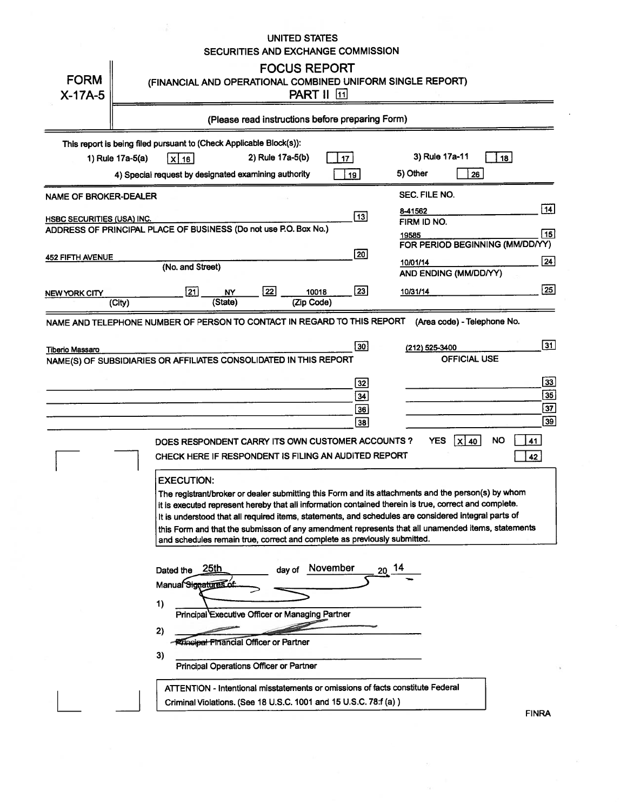# **UNITED STATES** SECURITIES AND EXCHANGE COMMISSION

| <b>FORM</b><br>$X-17A-5$          | <b>FOCUS REPORT</b><br>(FINANCIAL AND OPERATIONAL COMBINED UNIFORM SINGLE REPORT)<br>PART II 1                                                                                                                                                                                                                                                                                                                                                                                                                |                          |
|-----------------------------------|---------------------------------------------------------------------------------------------------------------------------------------------------------------------------------------------------------------------------------------------------------------------------------------------------------------------------------------------------------------------------------------------------------------------------------------------------------------------------------------------------------------|--------------------------|
|                                   | (Please read instructions before preparing Form)                                                                                                                                                                                                                                                                                                                                                                                                                                                              |                          |
|                                   | This report is being filed pursuant to (Check Applicable Block(s)):<br>3) Rule 17a-11<br>2) Rule 17a-5(b)<br>18<br>1) Rule 17a-5(a)<br>17 <sup>2</sup><br>16<br>xl<br>5) Other<br>4) Special request by designated examining authority<br>26<br>19                                                                                                                                                                                                                                                            |                          |
| <b>NAME OF BROKER-DEALER</b>      | SEC. FILE NO.                                                                                                                                                                                                                                                                                                                                                                                                                                                                                                 |                          |
| <b>HSBC SECURITIES (USA) INC.</b> | 8-41562<br>$\lceil$ 13 $\rceil$<br>FIRM ID NO.                                                                                                                                                                                                                                                                                                                                                                                                                                                                | 14                       |
|                                   | ADDRESS OF PRINCIPAL PLACE OF BUSINESS (Do not use P.O. Box No.)<br>19585<br>FOR PERIOD BEGINNING (MM/DD/YY)                                                                                                                                                                                                                                                                                                                                                                                                  | 15                       |
| <b>452 FIFTH AVENUE</b>           | 20 <br>10/01/14<br>(No. and Street)<br>AND ENDING (MM/DD/YY)                                                                                                                                                                                                                                                                                                                                                                                                                                                  | $\left  24 \right $      |
| NEW YORK CITY                     | $\boxed{23}$<br>$\overline{22}$<br>$\sqrt{21}$<br>10018<br>10/31/14<br><b>NY</b><br>(State)<br>(Zip Code)<br>(City)                                                                                                                                                                                                                                                                                                                                                                                           | 25                       |
|                                   | NAME AND TELEPHONE NUMBER OF PERSON TO CONTACT IN REGARD TO THIS REPORT<br>(Area code) - Telephone No.                                                                                                                                                                                                                                                                                                                                                                                                        |                          |
| <b>Tiberio Massaro</b>            | 30<br>(212) 525-3400<br><b>OFFICIAL USE</b><br>NAME(S) OF SUBSIDIARIES OR AFFILIATES CONSOLIDATED IN THIS REPORT<br> 32 <br>34                                                                                                                                                                                                                                                                                                                                                                                | $\boxed{31}$<br>33<br>35 |
|                                   | 36                                                                                                                                                                                                                                                                                                                                                                                                                                                                                                            | 37<br>$\sqrt{39}$        |
|                                   | 38<br><b>NO</b><br><b>YES</b><br>41<br>$ X $ 40<br>DOES RESPONDENT CARRY ITS OWN CUSTOMER ACCOUNTS?<br>CHECK HERE IF RESPONDENT IS FILING AN AUDITED REPORT<br>42<br><b>EXECUTION:</b><br>The registrant/broker or dealer submitting this Form and its attachments and the person(s) by whom<br>it is executed represent hereby that all information contained therein is true, correct and complete.<br>It is understood that all required items, statements, and schedules are considered integral parts of |                          |
|                                   | this Form and that the submisson of any amendment represents that all unamended items, statements<br>and schedules remain true, correct and complete as previously submitted.                                                                                                                                                                                                                                                                                                                                 |                          |
|                                   | November<br>25th<br>14<br>Dated the<br>day of<br>20<br>Manual Signatures of:<br>1)<br>Principal Executive Officer or Managing Partner<br>2)<br><b>Zrincipal Financial Officer or Partner</b><br>3)<br>Principal Operations Officer or Partner                                                                                                                                                                                                                                                                 |                          |
|                                   | ATTENTION - Intentional misstatements or omissions of facts constitute Federal                                                                                                                                                                                                                                                                                                                                                                                                                                |                          |
|                                   | Criminal Violations. (See 18 U.S.C. 1001 and 15 U.S.C. 78:f (a))<br><b>FINRA</b>                                                                                                                                                                                                                                                                                                                                                                                                                              |                          |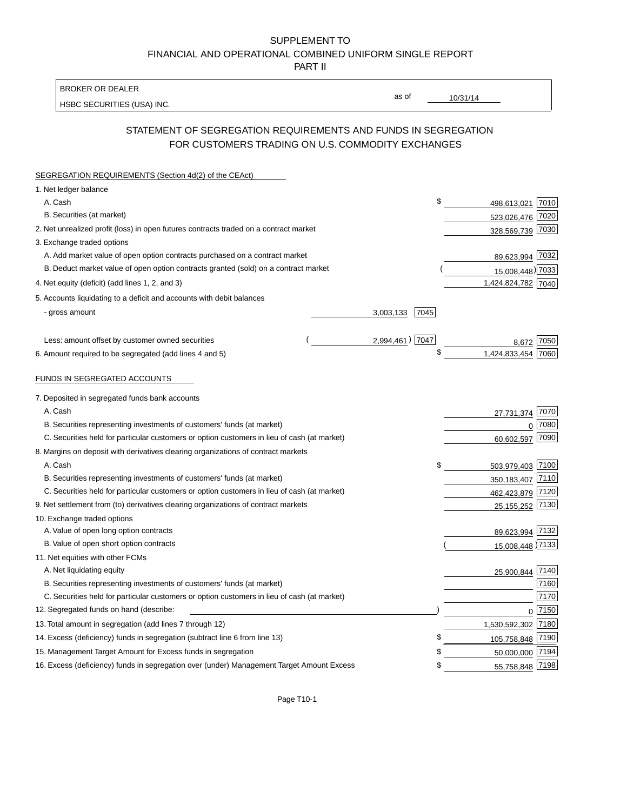# SUPPLEMENT TO FINANCIAL AND OPERATIONAL COMBINED UNIFORM SINGLE REPORT PART II

| HSBC SECURITIES (USA) INC.<br>STATEMENT OF SEGREGATION REQUIREMENTS AND FUNDS IN SEGREGATION<br>FOR CUSTOMERS TRADING ON U.S. COMMODITY EXCHANGES<br>SEGREGATION REQUIREMENTS (Section 4d(2) of the CEAct)<br>1. Net ledger balance<br>\$<br>A. Cash<br>498,613,021<br>B. Securities (at market)<br>523,026,476<br>2. Net unrealized profit (loss) in open futures contracts traded on a contract market<br>328,569,739 7030<br>3. Exchange traded options<br>89,623,994 7032<br>A. Add market value of open option contracts purchased on a contract market<br>B. Deduct market value of open option contracts granted (sold) on a contract market<br>15,008,448) 7033<br>1,424,824,782 7040<br>4. Net equity (deficit) (add lines 1, 2, and 3)<br>5. Accounts liquidating to a deficit and accounts with debit balances<br>- gross amount<br>7045<br>3,003,133<br>7047<br>2,994,461)<br>Less: amount offset by customer owned securities<br>8,672 7050<br>\$<br>1,424,833,454 7060<br>6. Amount required to be segregated (add lines 4 and 5)<br>FUNDS IN SEGREGATED ACCOUNTS<br>7. Deposited in segregated funds bank accounts<br>A. Cash<br>7070<br>27,731,374<br>B. Securities representing investments of customers' funds (at market)<br>0 7080<br>C. Securities held for particular customers or option customers in lieu of cash (at market)<br>7090<br>60,602,597<br>8. Margins on deposit with derivatives clearing organizations of contract markets<br>A. Cash<br>\$<br>503,979,403 7100<br>B. Securities representing investments of customers' funds (at market)<br>350,183,407 7110<br>C. Securities held for particular customers or option customers in lieu of cash (at market)<br>462,423,879<br>9. Net settlement from (to) derivatives clearing organizations of contract markets<br>25, 155, 252<br>10. Exchange traded options<br>A. Value of open long option contracts<br>89,623,994 7132<br>15,008,448 7133<br>B. Value of open short option contracts<br>11. Net equities with other FCMs<br>A. Net liquidating equity<br>25,900,844<br>B. Securities representing investments of customers' funds (at market)<br>C. Securities held for particular customers or option customers in lieu of cash (at market)<br>12. Segregated funds on hand (describe:<br>$0$ 7150<br>1,530,592,302 7180<br>13. Total amount in segregation (add lines 7 through 12)<br>\$<br>14. Excess (deficiency) funds in segregation (subtract line 6 from line 13)<br>105,758,848 7190<br>15. Management Target Amount for Excess funds in segregation<br>50,000,000 7194<br>\$<br>16. Excess (deficiency) funds in segregation over (under) Management Target Amount Excess<br>\$<br>55,758,848 7198 | <b>BROKER OR DEALER</b> |       |          |      |
|------------------------------------------------------------------------------------------------------------------------------------------------------------------------------------------------------------------------------------------------------------------------------------------------------------------------------------------------------------------------------------------------------------------------------------------------------------------------------------------------------------------------------------------------------------------------------------------------------------------------------------------------------------------------------------------------------------------------------------------------------------------------------------------------------------------------------------------------------------------------------------------------------------------------------------------------------------------------------------------------------------------------------------------------------------------------------------------------------------------------------------------------------------------------------------------------------------------------------------------------------------------------------------------------------------------------------------------------------------------------------------------------------------------------------------------------------------------------------------------------------------------------------------------------------------------------------------------------------------------------------------------------------------------------------------------------------------------------------------------------------------------------------------------------------------------------------------------------------------------------------------------------------------------------------------------------------------------------------------------------------------------------------------------------------------------------------------------------------------------------------------------------------------------------------------------------------------------------------------------------------------------------------------------------------------------------------------------------------------------------------------------------------------------------------------------------------------------------------------------------------------------------------------------------------------------------------------------------------------------------------------------------------------------------------------------------------------|-------------------------|-------|----------|------|
|                                                                                                                                                                                                                                                                                                                                                                                                                                                                                                                                                                                                                                                                                                                                                                                                                                                                                                                                                                                                                                                                                                                                                                                                                                                                                                                                                                                                                                                                                                                                                                                                                                                                                                                                                                                                                                                                                                                                                                                                                                                                                                                                                                                                                                                                                                                                                                                                                                                                                                                                                                                                                                                                                                            |                         | as of | 10/31/14 |      |
|                                                                                                                                                                                                                                                                                                                                                                                                                                                                                                                                                                                                                                                                                                                                                                                                                                                                                                                                                                                                                                                                                                                                                                                                                                                                                                                                                                                                                                                                                                                                                                                                                                                                                                                                                                                                                                                                                                                                                                                                                                                                                                                                                                                                                                                                                                                                                                                                                                                                                                                                                                                                                                                                                                            |                         |       |          |      |
|                                                                                                                                                                                                                                                                                                                                                                                                                                                                                                                                                                                                                                                                                                                                                                                                                                                                                                                                                                                                                                                                                                                                                                                                                                                                                                                                                                                                                                                                                                                                                                                                                                                                                                                                                                                                                                                                                                                                                                                                                                                                                                                                                                                                                                                                                                                                                                                                                                                                                                                                                                                                                                                                                                            |                         |       |          |      |
|                                                                                                                                                                                                                                                                                                                                                                                                                                                                                                                                                                                                                                                                                                                                                                                                                                                                                                                                                                                                                                                                                                                                                                                                                                                                                                                                                                                                                                                                                                                                                                                                                                                                                                                                                                                                                                                                                                                                                                                                                                                                                                                                                                                                                                                                                                                                                                                                                                                                                                                                                                                                                                                                                                            |                         |       |          |      |
|                                                                                                                                                                                                                                                                                                                                                                                                                                                                                                                                                                                                                                                                                                                                                                                                                                                                                                                                                                                                                                                                                                                                                                                                                                                                                                                                                                                                                                                                                                                                                                                                                                                                                                                                                                                                                                                                                                                                                                                                                                                                                                                                                                                                                                                                                                                                                                                                                                                                                                                                                                                                                                                                                                            |                         |       |          | 7010 |
|                                                                                                                                                                                                                                                                                                                                                                                                                                                                                                                                                                                                                                                                                                                                                                                                                                                                                                                                                                                                                                                                                                                                                                                                                                                                                                                                                                                                                                                                                                                                                                                                                                                                                                                                                                                                                                                                                                                                                                                                                                                                                                                                                                                                                                                                                                                                                                                                                                                                                                                                                                                                                                                                                                            |                         |       |          | 7020 |
|                                                                                                                                                                                                                                                                                                                                                                                                                                                                                                                                                                                                                                                                                                                                                                                                                                                                                                                                                                                                                                                                                                                                                                                                                                                                                                                                                                                                                                                                                                                                                                                                                                                                                                                                                                                                                                                                                                                                                                                                                                                                                                                                                                                                                                                                                                                                                                                                                                                                                                                                                                                                                                                                                                            |                         |       |          |      |
|                                                                                                                                                                                                                                                                                                                                                                                                                                                                                                                                                                                                                                                                                                                                                                                                                                                                                                                                                                                                                                                                                                                                                                                                                                                                                                                                                                                                                                                                                                                                                                                                                                                                                                                                                                                                                                                                                                                                                                                                                                                                                                                                                                                                                                                                                                                                                                                                                                                                                                                                                                                                                                                                                                            |                         |       |          |      |
|                                                                                                                                                                                                                                                                                                                                                                                                                                                                                                                                                                                                                                                                                                                                                                                                                                                                                                                                                                                                                                                                                                                                                                                                                                                                                                                                                                                                                                                                                                                                                                                                                                                                                                                                                                                                                                                                                                                                                                                                                                                                                                                                                                                                                                                                                                                                                                                                                                                                                                                                                                                                                                                                                                            |                         |       |          |      |
|                                                                                                                                                                                                                                                                                                                                                                                                                                                                                                                                                                                                                                                                                                                                                                                                                                                                                                                                                                                                                                                                                                                                                                                                                                                                                                                                                                                                                                                                                                                                                                                                                                                                                                                                                                                                                                                                                                                                                                                                                                                                                                                                                                                                                                                                                                                                                                                                                                                                                                                                                                                                                                                                                                            |                         |       |          |      |
|                                                                                                                                                                                                                                                                                                                                                                                                                                                                                                                                                                                                                                                                                                                                                                                                                                                                                                                                                                                                                                                                                                                                                                                                                                                                                                                                                                                                                                                                                                                                                                                                                                                                                                                                                                                                                                                                                                                                                                                                                                                                                                                                                                                                                                                                                                                                                                                                                                                                                                                                                                                                                                                                                                            |                         |       |          |      |
|                                                                                                                                                                                                                                                                                                                                                                                                                                                                                                                                                                                                                                                                                                                                                                                                                                                                                                                                                                                                                                                                                                                                                                                                                                                                                                                                                                                                                                                                                                                                                                                                                                                                                                                                                                                                                                                                                                                                                                                                                                                                                                                                                                                                                                                                                                                                                                                                                                                                                                                                                                                                                                                                                                            |                         |       |          |      |
|                                                                                                                                                                                                                                                                                                                                                                                                                                                                                                                                                                                                                                                                                                                                                                                                                                                                                                                                                                                                                                                                                                                                                                                                                                                                                                                                                                                                                                                                                                                                                                                                                                                                                                                                                                                                                                                                                                                                                                                                                                                                                                                                                                                                                                                                                                                                                                                                                                                                                                                                                                                                                                                                                                            |                         |       |          |      |
|                                                                                                                                                                                                                                                                                                                                                                                                                                                                                                                                                                                                                                                                                                                                                                                                                                                                                                                                                                                                                                                                                                                                                                                                                                                                                                                                                                                                                                                                                                                                                                                                                                                                                                                                                                                                                                                                                                                                                                                                                                                                                                                                                                                                                                                                                                                                                                                                                                                                                                                                                                                                                                                                                                            |                         |       |          |      |
|                                                                                                                                                                                                                                                                                                                                                                                                                                                                                                                                                                                                                                                                                                                                                                                                                                                                                                                                                                                                                                                                                                                                                                                                                                                                                                                                                                                                                                                                                                                                                                                                                                                                                                                                                                                                                                                                                                                                                                                                                                                                                                                                                                                                                                                                                                                                                                                                                                                                                                                                                                                                                                                                                                            |                         |       |          |      |
|                                                                                                                                                                                                                                                                                                                                                                                                                                                                                                                                                                                                                                                                                                                                                                                                                                                                                                                                                                                                                                                                                                                                                                                                                                                                                                                                                                                                                                                                                                                                                                                                                                                                                                                                                                                                                                                                                                                                                                                                                                                                                                                                                                                                                                                                                                                                                                                                                                                                                                                                                                                                                                                                                                            |                         |       |          |      |
|                                                                                                                                                                                                                                                                                                                                                                                                                                                                                                                                                                                                                                                                                                                                                                                                                                                                                                                                                                                                                                                                                                                                                                                                                                                                                                                                                                                                                                                                                                                                                                                                                                                                                                                                                                                                                                                                                                                                                                                                                                                                                                                                                                                                                                                                                                                                                                                                                                                                                                                                                                                                                                                                                                            |                         |       |          |      |
|                                                                                                                                                                                                                                                                                                                                                                                                                                                                                                                                                                                                                                                                                                                                                                                                                                                                                                                                                                                                                                                                                                                                                                                                                                                                                                                                                                                                                                                                                                                                                                                                                                                                                                                                                                                                                                                                                                                                                                                                                                                                                                                                                                                                                                                                                                                                                                                                                                                                                                                                                                                                                                                                                                            |                         |       |          |      |
|                                                                                                                                                                                                                                                                                                                                                                                                                                                                                                                                                                                                                                                                                                                                                                                                                                                                                                                                                                                                                                                                                                                                                                                                                                                                                                                                                                                                                                                                                                                                                                                                                                                                                                                                                                                                                                                                                                                                                                                                                                                                                                                                                                                                                                                                                                                                                                                                                                                                                                                                                                                                                                                                                                            |                         |       |          |      |
|                                                                                                                                                                                                                                                                                                                                                                                                                                                                                                                                                                                                                                                                                                                                                                                                                                                                                                                                                                                                                                                                                                                                                                                                                                                                                                                                                                                                                                                                                                                                                                                                                                                                                                                                                                                                                                                                                                                                                                                                                                                                                                                                                                                                                                                                                                                                                                                                                                                                                                                                                                                                                                                                                                            |                         |       |          |      |
|                                                                                                                                                                                                                                                                                                                                                                                                                                                                                                                                                                                                                                                                                                                                                                                                                                                                                                                                                                                                                                                                                                                                                                                                                                                                                                                                                                                                                                                                                                                                                                                                                                                                                                                                                                                                                                                                                                                                                                                                                                                                                                                                                                                                                                                                                                                                                                                                                                                                                                                                                                                                                                                                                                            |                         |       |          |      |
|                                                                                                                                                                                                                                                                                                                                                                                                                                                                                                                                                                                                                                                                                                                                                                                                                                                                                                                                                                                                                                                                                                                                                                                                                                                                                                                                                                                                                                                                                                                                                                                                                                                                                                                                                                                                                                                                                                                                                                                                                                                                                                                                                                                                                                                                                                                                                                                                                                                                                                                                                                                                                                                                                                            |                         |       |          |      |
|                                                                                                                                                                                                                                                                                                                                                                                                                                                                                                                                                                                                                                                                                                                                                                                                                                                                                                                                                                                                                                                                                                                                                                                                                                                                                                                                                                                                                                                                                                                                                                                                                                                                                                                                                                                                                                                                                                                                                                                                                                                                                                                                                                                                                                                                                                                                                                                                                                                                                                                                                                                                                                                                                                            |                         |       |          |      |
|                                                                                                                                                                                                                                                                                                                                                                                                                                                                                                                                                                                                                                                                                                                                                                                                                                                                                                                                                                                                                                                                                                                                                                                                                                                                                                                                                                                                                                                                                                                                                                                                                                                                                                                                                                                                                                                                                                                                                                                                                                                                                                                                                                                                                                                                                                                                                                                                                                                                                                                                                                                                                                                                                                            |                         |       |          | 7120 |
|                                                                                                                                                                                                                                                                                                                                                                                                                                                                                                                                                                                                                                                                                                                                                                                                                                                                                                                                                                                                                                                                                                                                                                                                                                                                                                                                                                                                                                                                                                                                                                                                                                                                                                                                                                                                                                                                                                                                                                                                                                                                                                                                                                                                                                                                                                                                                                                                                                                                                                                                                                                                                                                                                                            |                         |       |          | 7130 |
|                                                                                                                                                                                                                                                                                                                                                                                                                                                                                                                                                                                                                                                                                                                                                                                                                                                                                                                                                                                                                                                                                                                                                                                                                                                                                                                                                                                                                                                                                                                                                                                                                                                                                                                                                                                                                                                                                                                                                                                                                                                                                                                                                                                                                                                                                                                                                                                                                                                                                                                                                                                                                                                                                                            |                         |       |          |      |
|                                                                                                                                                                                                                                                                                                                                                                                                                                                                                                                                                                                                                                                                                                                                                                                                                                                                                                                                                                                                                                                                                                                                                                                                                                                                                                                                                                                                                                                                                                                                                                                                                                                                                                                                                                                                                                                                                                                                                                                                                                                                                                                                                                                                                                                                                                                                                                                                                                                                                                                                                                                                                                                                                                            |                         |       |          |      |
|                                                                                                                                                                                                                                                                                                                                                                                                                                                                                                                                                                                                                                                                                                                                                                                                                                                                                                                                                                                                                                                                                                                                                                                                                                                                                                                                                                                                                                                                                                                                                                                                                                                                                                                                                                                                                                                                                                                                                                                                                                                                                                                                                                                                                                                                                                                                                                                                                                                                                                                                                                                                                                                                                                            |                         |       |          |      |
|                                                                                                                                                                                                                                                                                                                                                                                                                                                                                                                                                                                                                                                                                                                                                                                                                                                                                                                                                                                                                                                                                                                                                                                                                                                                                                                                                                                                                                                                                                                                                                                                                                                                                                                                                                                                                                                                                                                                                                                                                                                                                                                                                                                                                                                                                                                                                                                                                                                                                                                                                                                                                                                                                                            |                         |       |          |      |
|                                                                                                                                                                                                                                                                                                                                                                                                                                                                                                                                                                                                                                                                                                                                                                                                                                                                                                                                                                                                                                                                                                                                                                                                                                                                                                                                                                                                                                                                                                                                                                                                                                                                                                                                                                                                                                                                                                                                                                                                                                                                                                                                                                                                                                                                                                                                                                                                                                                                                                                                                                                                                                                                                                            |                         |       |          | 7140 |
|                                                                                                                                                                                                                                                                                                                                                                                                                                                                                                                                                                                                                                                                                                                                                                                                                                                                                                                                                                                                                                                                                                                                                                                                                                                                                                                                                                                                                                                                                                                                                                                                                                                                                                                                                                                                                                                                                                                                                                                                                                                                                                                                                                                                                                                                                                                                                                                                                                                                                                                                                                                                                                                                                                            |                         |       |          | 7160 |
|                                                                                                                                                                                                                                                                                                                                                                                                                                                                                                                                                                                                                                                                                                                                                                                                                                                                                                                                                                                                                                                                                                                                                                                                                                                                                                                                                                                                                                                                                                                                                                                                                                                                                                                                                                                                                                                                                                                                                                                                                                                                                                                                                                                                                                                                                                                                                                                                                                                                                                                                                                                                                                                                                                            |                         |       |          | 7170 |
|                                                                                                                                                                                                                                                                                                                                                                                                                                                                                                                                                                                                                                                                                                                                                                                                                                                                                                                                                                                                                                                                                                                                                                                                                                                                                                                                                                                                                                                                                                                                                                                                                                                                                                                                                                                                                                                                                                                                                                                                                                                                                                                                                                                                                                                                                                                                                                                                                                                                                                                                                                                                                                                                                                            |                         |       |          |      |
|                                                                                                                                                                                                                                                                                                                                                                                                                                                                                                                                                                                                                                                                                                                                                                                                                                                                                                                                                                                                                                                                                                                                                                                                                                                                                                                                                                                                                                                                                                                                                                                                                                                                                                                                                                                                                                                                                                                                                                                                                                                                                                                                                                                                                                                                                                                                                                                                                                                                                                                                                                                                                                                                                                            |                         |       |          |      |
|                                                                                                                                                                                                                                                                                                                                                                                                                                                                                                                                                                                                                                                                                                                                                                                                                                                                                                                                                                                                                                                                                                                                                                                                                                                                                                                                                                                                                                                                                                                                                                                                                                                                                                                                                                                                                                                                                                                                                                                                                                                                                                                                                                                                                                                                                                                                                                                                                                                                                                                                                                                                                                                                                                            |                         |       |          |      |
|                                                                                                                                                                                                                                                                                                                                                                                                                                                                                                                                                                                                                                                                                                                                                                                                                                                                                                                                                                                                                                                                                                                                                                                                                                                                                                                                                                                                                                                                                                                                                                                                                                                                                                                                                                                                                                                                                                                                                                                                                                                                                                                                                                                                                                                                                                                                                                                                                                                                                                                                                                                                                                                                                                            |                         |       |          |      |
|                                                                                                                                                                                                                                                                                                                                                                                                                                                                                                                                                                                                                                                                                                                                                                                                                                                                                                                                                                                                                                                                                                                                                                                                                                                                                                                                                                                                                                                                                                                                                                                                                                                                                                                                                                                                                                                                                                                                                                                                                                                                                                                                                                                                                                                                                                                                                                                                                                                                                                                                                                                                                                                                                                            |                         |       |          |      |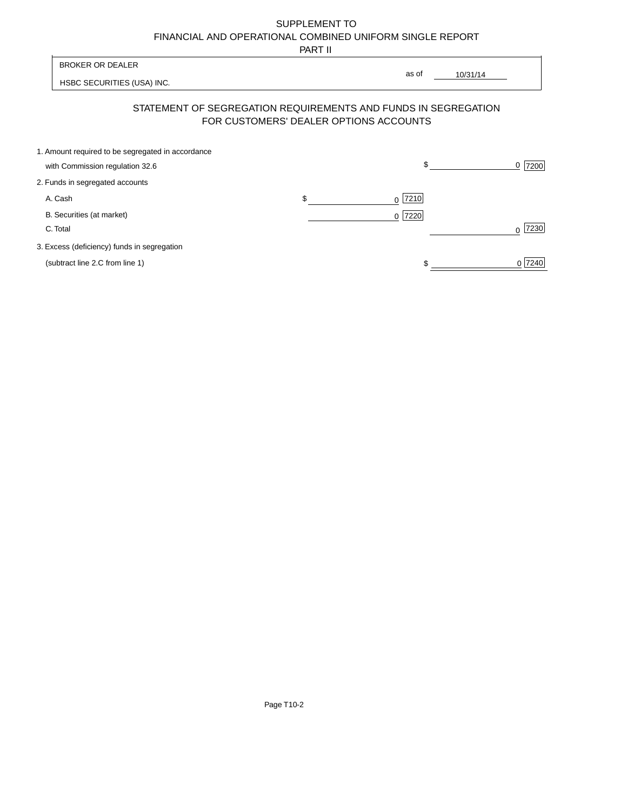# SUPPLEMENT TO FINANCIAL AND OPERATIONAL COMBINED UNIFORM SINGLE REPORT

| <b>BROKER OR DEALER</b>                                                              | as of                                                                                                    |           |
|--------------------------------------------------------------------------------------|----------------------------------------------------------------------------------------------------------|-----------|
| HSBC SECURITIES (USA) INC.                                                           | 10/31/14                                                                                                 |           |
|                                                                                      | STATEMENT OF SEGREGATION REQUIREMENTS AND FUNDS IN SEGREGATION<br>FOR CUSTOMERS' DEALER OPTIONS ACCOUNTS |           |
| 1. Amount required to be segregated in accordance<br>with Commission regulation 32.6 | \$                                                                                                       | 7200<br>0 |
| 2. Funds in segregated accounts                                                      |                                                                                                          |           |
| A. Cash                                                                              | \$<br> 7210 <br>0                                                                                        |           |
| B. Securities (at market)<br>C. Total                                                | $0$  7220                                                                                                | 7230<br>∩ |
| 3. Excess (deficiency) funds in segregation                                          |                                                                                                          |           |
| (subtract line 2.C from line 1)                                                      |                                                                                                          | 7240<br>0 |

-l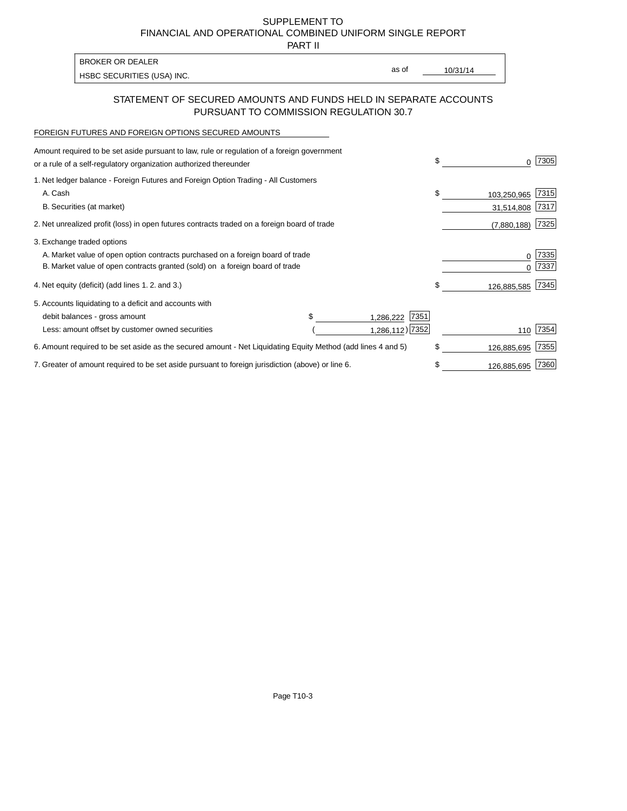# SUPPLEMENT TO FINANCIAL AND OPERATIONAL COMBINED UNIFORM SINGLE REPORT

PART II

| <b>BROKER OR DEALER</b>    |       |          |
|----------------------------|-------|----------|
| HSBC SECURITIES (USA) INC. | as of | 10/31/14 |

# STATEMENT OF SECURED AMOUNTS AND FUNDS HELD IN SEPARATE ACCOUNTS PURSUANT TO COMMISSION REGULATION 30.7

#### FOREIGN FUTURES AND FOREIGN OPTIONS SECURED AMOUNTS

| Amount required to be set aside pursuant to law, rule or regulation of a foreign government                  |                   |                   |      |
|--------------------------------------------------------------------------------------------------------------|-------------------|-------------------|------|
| or a rule of a self-regulatory organization authorized thereunder                                            |                   | \$                | 7305 |
| 1. Net ledger balance - Foreign Futures and Foreign Option Trading - All Customers                           |                   |                   |      |
| A. Cash                                                                                                      |                   | \$<br>103,250,965 | 7315 |
| B. Securities (at market)                                                                                    |                   | 31,514,808        | 7317 |
| 2. Net unrealized profit (loss) in open futures contracts traded on a foreign board of trade                 |                   | (7,880,188)       | 7325 |
| 3. Exchange traded options                                                                                   |                   |                   |      |
| A. Market value of open option contracts purchased on a foreign board of trade                               |                   |                   | 7335 |
| B. Market value of open contracts granted (sold) on a foreign board of trade                                 |                   |                   | 7337 |
| 4. Net equity (deficit) (add lines 1.2. and 3.)                                                              |                   | \$<br>126,885,585 | 7345 |
| 5. Accounts liquidating to a deficit and accounts with                                                       |                   |                   |      |
| debit balances - gross amount                                                                                | 7351<br>1,286,222 |                   |      |
| Less: amount offset by customer owned securities                                                             | 1,286,112) 7352   | 110               | 7354 |
| 6. Amount required to be set aside as the secured amount - Net Liquidating Equity Method (add lines 4 and 5) |                   | \$<br>126,885,695 | 7355 |
| 7. Greater of amount required to be set aside pursuant to foreign jurisdiction (above) or line 6.            |                   | 126,885,695       | 7360 |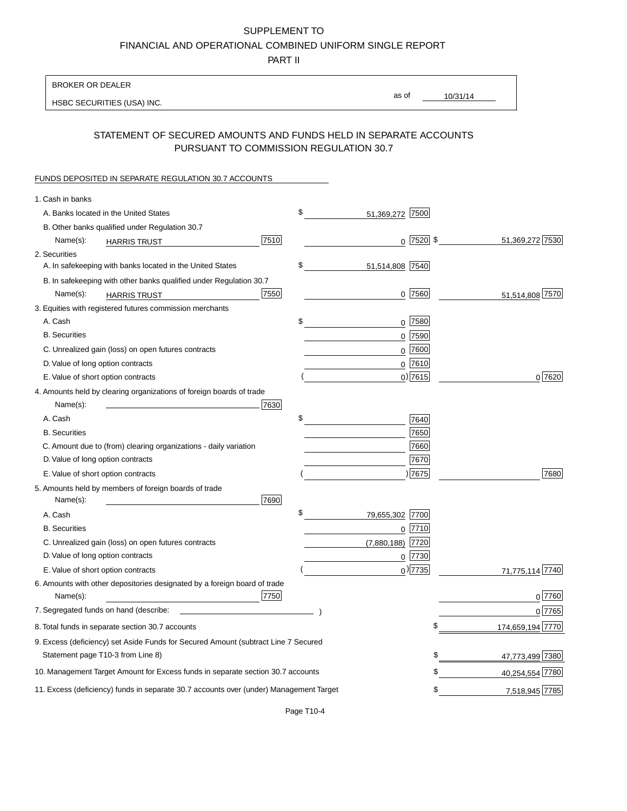#### SUPPLEMENT TO

FINANCIAL AND OPERATIONAL COMBINED UNIFORM SINGLE REPORT

PART II

BROKER OR DEALER

HSBC SECURITIES (USA) INC.

10/31/14 as of

# STATEMENT OF SECURED AMOUNTS AND FUNDS HELD IN SEPARATE ACCOUNTS PURSUANT TO COMMISSION REGULATION 30.7

#### FUNDS DEPOSITED IN SEPARATE REGULATION 30.7 ACCOUNTS

| 1. Cash in banks                   |                                                                                        |      |                       |             |                  |
|------------------------------------|----------------------------------------------------------------------------------------|------|-----------------------|-------------|------------------|
|                                    | A. Banks located in the United States                                                  |      | \$<br>51,369,272 7500 |             |                  |
|                                    | B. Other banks qualified under Regulation 30.7                                         |      |                       |             |                  |
| Name(s):                           | <b>HARRIS TRUST</b>                                                                    | 7510 |                       | $0$ 7520 \$ | 51,369,272 7530  |
| 2. Securities                      |                                                                                        |      |                       |             |                  |
|                                    | A. In safekeeping with banks located in the United States                              |      | \$<br>51,514,808 7540 |             |                  |
|                                    | B. In safekeeping with other banks qualified under Regulation 30.7                     |      |                       |             |                  |
| Name(s):                           | <b>HARRIS TRUST</b>                                                                    | 7550 | 0 7560                |             | 51,514,808 7570  |
|                                    | 3. Equities with registered futures commission merchants                               |      |                       |             |                  |
| A. Cash                            |                                                                                        |      | \$<br>$0$ 7580        |             |                  |
| <b>B.</b> Securities               |                                                                                        |      | $0$ 7590              |             |                  |
|                                    | C. Unrealized gain (loss) on open futures contracts                                    |      | 0 7600                |             |                  |
| D. Value of long option contracts  |                                                                                        |      | $0^{7610}$            |             |                  |
| E. Value of short option contracts |                                                                                        |      | $0)$ 7615             |             | 0 7620           |
|                                    | 4. Amounts held by clearing organizations of foreign boards of trade                   |      |                       |             |                  |
| Name(s):                           |                                                                                        | 7630 |                       |             |                  |
| A. Cash                            |                                                                                        |      | \$                    | 7640        |                  |
| <b>B.</b> Securities               |                                                                                        |      |                       | 7650        |                  |
|                                    | C. Amount due to (from) clearing organizations - daily variation                       |      |                       | 7660        |                  |
| D. Value of long option contracts  |                                                                                        |      |                       | 7670        |                  |
| E. Value of short option contracts |                                                                                        |      |                       | ) 7675      | 7680             |
| Name(s):                           | 5. Amounts held by members of foreign boards of trade                                  | 7690 |                       |             |                  |
| A. Cash                            |                                                                                        |      | \$<br>79,655,302 7700 |             |                  |
| <b>B.</b> Securities               |                                                                                        |      | $0$ 7710              |             |                  |
|                                    | C. Unrealized gain (loss) on open futures contracts                                    |      | (7,880,188) 7720      |             |                  |
| D. Value of long option contracts  |                                                                                        |      | 0 7730                |             |                  |
| E. Value of short option contracts |                                                                                        |      | $_0$ ) 7735           |             | 71,775,114 7740  |
|                                    | 6. Amounts with other depositories designated by a foreign board of trade              |      |                       |             |                  |
| Name(s):                           |                                                                                        | 7750 |                       |             | 0 7760           |
|                                    | 7. Segregated funds on hand (describe:                                                 |      |                       |             | 0 7765           |
|                                    | 8. Total funds in separate section 30.7 accounts                                       |      |                       | \$          | 174,659,194 7770 |
|                                    | 9. Excess (deficiency) set Aside Funds for Secured Amount (subtract Line 7 Secured     |      |                       |             |                  |
|                                    | Statement page T10-3 from Line 8)                                                      |      |                       | \$          | 47,773,499 7380  |
|                                    | 10. Management Target Amount for Excess funds in separate section 30.7 accounts        |      |                       | \$          | 40,254,554 7780  |
|                                    | 11. Excess (deficiency) funds in separate 30.7 accounts over (under) Management Target |      |                       | \$          | 7,518,945 7785   |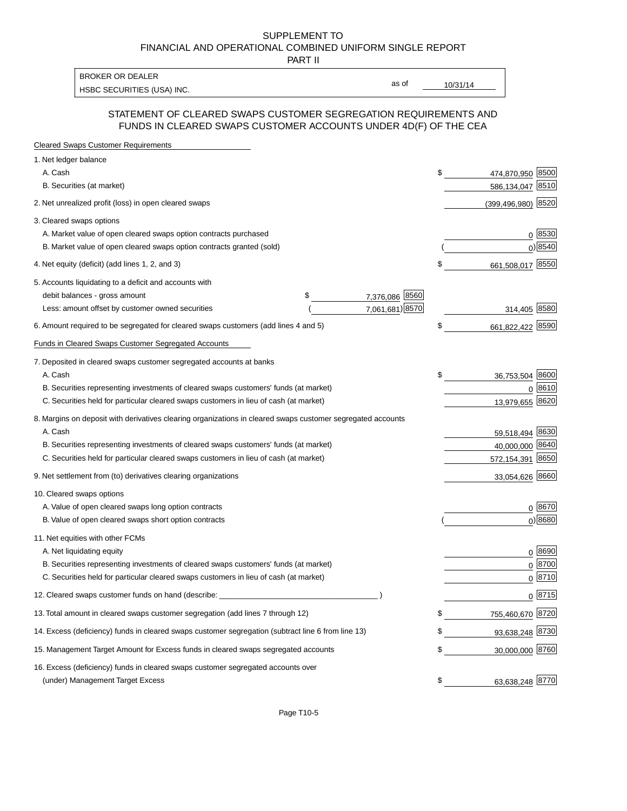#### SUPPLEMENT TO FINANCIAL AND OPERATIONAL COMBINED UNIFORM SINGLE REPORT PART II

HSBC SECURITIES (USA) INC. BROKER OR DEALER

as of

# STATEMENT OF CLEARED SWAPS CUSTOMER SEGREGATION REQUIREMENTS AND FUNDS IN CLEARED SWAPS CUSTOMER ACCOUNTS UNDER 4D(F) OF THE CEA

| <b>Cleared Swaps Customer Requirements</b> |  |
|--------------------------------------------|--|
| 1 Not lodger bolones                       |  |

| 1. Net ledger balance                                                                                       |                                 |                     |
|-------------------------------------------------------------------------------------------------------------|---------------------------------|---------------------|
| A. Cash                                                                                                     | \$<br>474,870,950 8500          |                     |
| B. Securities (at market)                                                                                   | 586,134,047 8510                |                     |
| 2. Net unrealized profit (loss) in open cleared swaps                                                       | $(399, 496, 980)$ 8520          |                     |
| 3. Cleared swaps options                                                                                    |                                 |                     |
| A. Market value of open cleared swaps option contracts purchased                                            |                                 | 0 8530              |
| B. Market value of open cleared swaps option contracts granted (sold)                                       |                                 | 0 8540              |
| 4. Net equity (deficit) (add lines 1, 2, and 3)                                                             | \$<br>661,508,017 8550          |                     |
| 5. Accounts liquidating to a deficit and accounts with                                                      |                                 |                     |
| debit balances - gross amount                                                                               | \$<br>7,376,086 8560            |                     |
| Less: amount offset by customer owned securities                                                            | 7,061,681) 8570<br>314,405 8580 |                     |
| 6. Amount required to be segregated for cleared swaps customers (add lines 4 and 5)                         | 661,822,422 8590<br>\$          |                     |
| Funds in Cleared Swaps Customer Segregated Accounts                                                         |                                 |                     |
| 7. Deposited in cleared swaps customer segregated accounts at banks                                         |                                 |                     |
| A. Cash                                                                                                     | \$<br>36,753,504 8600           |                     |
| B. Securities representing investments of cleared swaps customers' funds (at market)                        |                                 | 0 8610              |
| C. Securities held for particular cleared swaps customers in lieu of cash (at market)                       | 13,979,655 8620                 |                     |
| 8. Margins on deposit with derivatives clearing organizations in cleared swaps customer segregated accounts |                                 |                     |
| A. Cash                                                                                                     | 59,518,494 8630                 |                     |
| B. Securities representing investments of cleared swaps customers' funds (at market)                        | 40,000,000 8640                 |                     |
| C. Securities held for particular cleared swaps customers in lieu of cash (at market)                       | 572,154,391 8650                |                     |
| 9. Net settlement from (to) derivatives clearing organizations                                              | 33,054,626 8660                 |                     |
| 10. Cleared swaps options                                                                                   |                                 |                     |
| A. Value of open cleared swaps long option contracts                                                        |                                 | 0 8670              |
| B. Value of open cleared swaps short option contracts                                                       |                                 | $0)$ 8680           |
| 11. Net equities with other FCMs                                                                            |                                 |                     |
| A. Net liquidating equity                                                                                   |                                 | 0 8690              |
| B. Securities representing investments of cleared swaps customers' funds (at market)                        |                                 | 0 8700              |
| C. Securities held for particular cleared swaps customers in lieu of cash (at market)                       |                                 | 0 8710              |
| 12. Cleared swaps customer funds on hand (describe: _                                                       |                                 | $0 \overline{8715}$ |
| 13. Total amount in cleared swaps customer segregation (add lines 7 through 12)                             | 755,460,670 8720<br>\$          |                     |
| 14. Excess (deficiency) funds in cleared swaps customer segregation (subtract line 6 from line 13)          | 93,638,248 8730<br>$\sim$       |                     |
| 15. Management Target Amount for Excess funds in cleared swaps segregated accounts                          | 30,000,000 8760<br>$\sim$       |                     |
| 16. Excess (deficiency) funds in cleared swaps customer segregated accounts over                            |                                 |                     |
| (under) Management Target Excess                                                                            | 63,638,248 8770<br>\$           |                     |